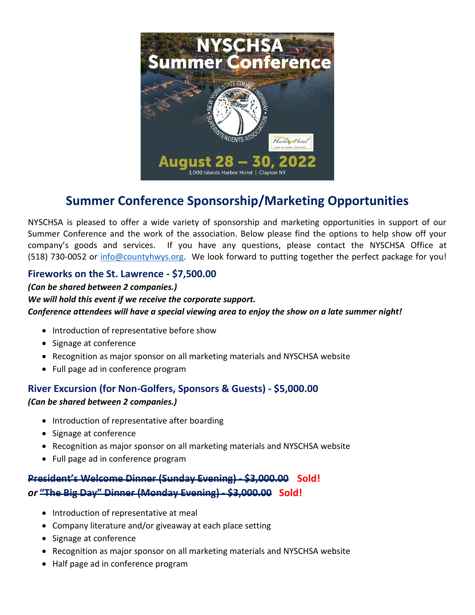

# **Summer Conference Sponsorship/Marketing Opportunities**

NYSCHSA is pleased to offer a wide variety of sponsorship and marketing opportunities in support of our Summer Conference and the work of the association. Below please find the options to help show off your company's goods and services. If you have any questions, please contact the NYSCHSA Office at (518) 730-0052 or [info@countyhwys.org.](mailto:info@countyhwys.org) We look forward to putting together the perfect package for you!

### **Fireworks on the St. Lawrence - \$7,500.00**

#### *(Can be shared between 2 companies.) We will hold this event if we receive the corporate support. Conference attendees will have a special viewing area to enjoy the show on a late summer night!*

- Introduction of representative before show
- Signage at conference
- Recognition as major sponsor on all marketing materials and NYSCHSA website
- Full page ad in conference program

## **River Excursion (for Non-Golfers, Sponsors & Guests) - \$5,000.00**  *(Can be shared between 2 companies.)*

- Introduction of representative after boarding
- Signage at conference
- Recognition as major sponsor on all marketing materials and NYSCHSA website
- Full page ad in conference program

## **President's Welcome Dinner (Sunday Evening) - \$3,000.00 Sold!** *or* **"The Big Day" Dinner (Monday Evening) - \$3,000.00 Sold!**

- Introduction of representative at meal
- Company literature and/or giveaway at each place setting
- Signage at conference
- Recognition as major sponsor on all marketing materials and NYSCHSA website
- Half page ad in conference program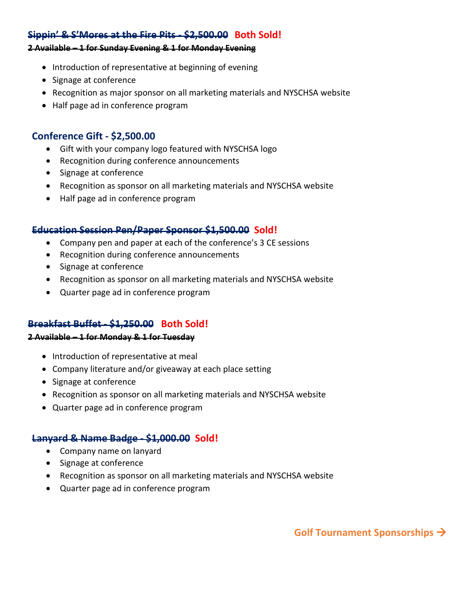#### **Sippin' & S'Mores at the Fire Pits - \$2,500.00 Both Sold!**

#### **2 Available – 1 for Sunday Evening & 1 for Monday Evening**

- Introduction of representative at beginning of evening
- Signage at conference
- Recognition as major sponsor on all marketing materials and NYSCHSA website
- Half page ad in conference program

#### **Conference Gift - \$2,500.00**

- Gift with your company logo featured with NYSCHSA logo
- Recognition during conference announcements
- Signage at conference
- Recognition as sponsor on all marketing materials and NYSCHSA website
- Half page ad in conference program

#### **Education Session Pen/Paper Sponsor \$1,500.00 Sold!**

- Company pen and paper at each of the conference's 3 CE sessions
- Recognition during conference announcements
- Signage at conference
- Recognition as sponsor on all marketing materials and NYSCHSA website
- Quarter page ad in conference program

#### **Breakfast Buffet - \$1,250.00 Both Sold!**

#### **2 Available – 1 for Monday & 1 for Tuesday**

- Introduction of representative at meal
- Company literature and/or giveaway at each place setting
- Signage at conference
- Recognition as sponsor on all marketing materials and NYSCHSA website
- Quarter page ad in conference program

#### **Lanyard & Name Badge - \$1,000.00 Sold!**

- Company name on lanyard
- Signage at conference
- Recognition as sponsor on all marketing materials and NYSCHSA website
- Quarter page ad in conference program

**Golf Tournament Sponsorships** →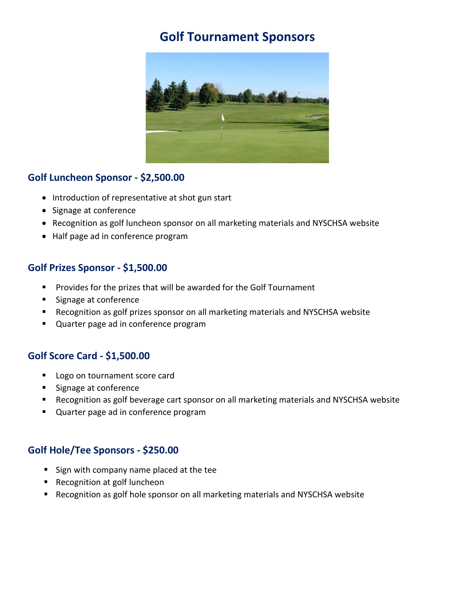# **Golf Tournament Sponsors**



### **Golf Luncheon Sponsor - \$2,500.00**

- Introduction of representative at shot gun start
- Signage at conference
- Recognition as golf luncheon sponsor on all marketing materials and NYSCHSA website
- Half page ad in conference program

#### **Golf Prizes Sponsor - \$1,500.00**

- Provides for the prizes that will be awarded for the Golf Tournament
- Signage at conference
- Recognition as golf prizes sponsor on all marketing materials and NYSCHSA website
- Quarter page ad in conference program

#### **Golf Score Card - \$1,500.00**

- Logo on tournament score card
- Signage at conference
- Recognition as golf beverage cart sponsor on all marketing materials and NYSCHSA website
- Quarter page ad in conference program

#### **Golf Hole/Tee Sponsors - \$250.00**

- Sign with company name placed at the tee
- Recognition at golf luncheon
- Recognition as golf hole sponsor on all marketing materials and NYSCHSA website